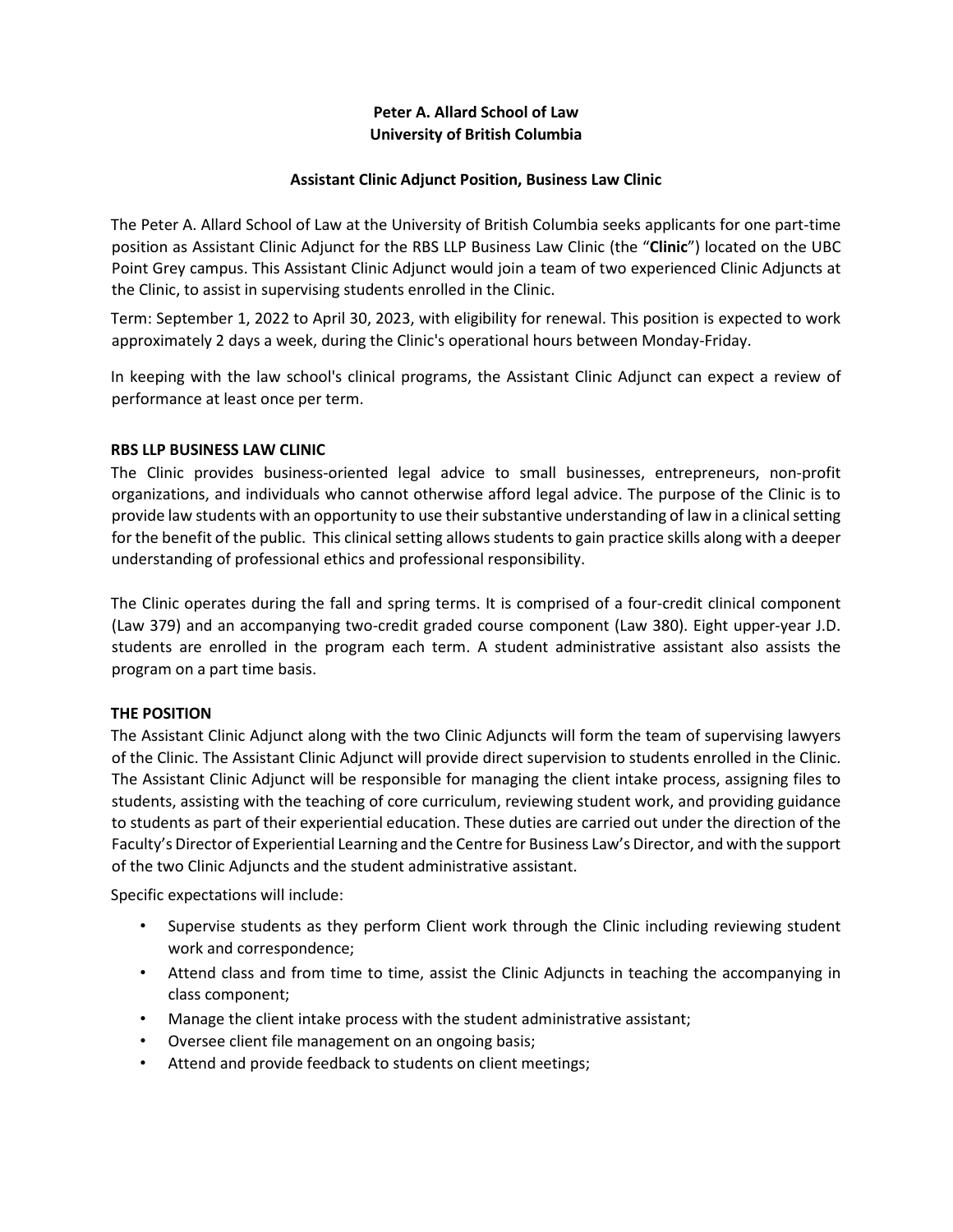# **Peter A. Allard School of Law University of British Columbia**

#### **Assistant Clinic Adjunct Position, Business Law Clinic**

The Peter A. Allard School of Law at the University of British Columbia seeks applicants for one part-time position as Assistant Clinic Adjunct for the RBS LLP Business Law Clinic (the "**Clinic**") located on the UBC Point Grey campus. This Assistant Clinic Adjunct would join a team of two experienced Clinic Adjuncts at the Clinic, to assist in supervising students enrolled in the Clinic.

Term: September 1, 2022 to April 30, 2023, with eligibility for renewal. This position is expected to work approximately 2 days a week, during the Clinic's operational hours between Monday-Friday.

In keeping with the law school's clinical programs, the Assistant Clinic Adjunct can expect a review of performance at least once per term.

#### **RBS LLP BUSINESS LAW CLINIC**

The Clinic provides business-oriented legal advice to small businesses, entrepreneurs, non-profit organizations, and individuals who cannot otherwise afford legal advice. The purpose of the Clinic is to provide law students with an opportunity to use their substantive understanding of law in a clinical setting for the benefit of the public. This clinical setting allows students to gain practice skills along with a deeper understanding of professional ethics and professional responsibility.

The Clinic operates during the fall and spring terms. It is comprised of a four-credit clinical component (Law 379) and an accompanying two-credit graded course component (Law 380). Eight upper-year J.D. students are enrolled in the program each term. A student administrative assistant also assists the program on a part time basis.

# **THE POSITION**

The Assistant Clinic Adjunct along with the two Clinic Adjuncts will form the team of supervising lawyers of the Clinic. The Assistant Clinic Adjunct will provide direct supervision to students enrolled in the Clinic. The Assistant Clinic Adjunct will be responsible for managing the client intake process, assigning files to students, assisting with the teaching of core curriculum, reviewing student work, and providing guidance to students as part of their experiential education. These duties are carried out under the direction of the Faculty's Director of Experiential Learning and the Centre for Business Law's Director, and with the support of the two Clinic Adjuncts and the student administrative assistant.

Specific expectations will include:

- Supervise students as they perform Client work through the Clinic including reviewing student work and correspondence;
- Attend class and from time to time, assist the Clinic Adjuncts in teaching the accompanying in class component;
- Manage the client intake process with the student administrative assistant;
- Oversee client file management on an ongoing basis;
- Attend and provide feedback to students on client meetings;